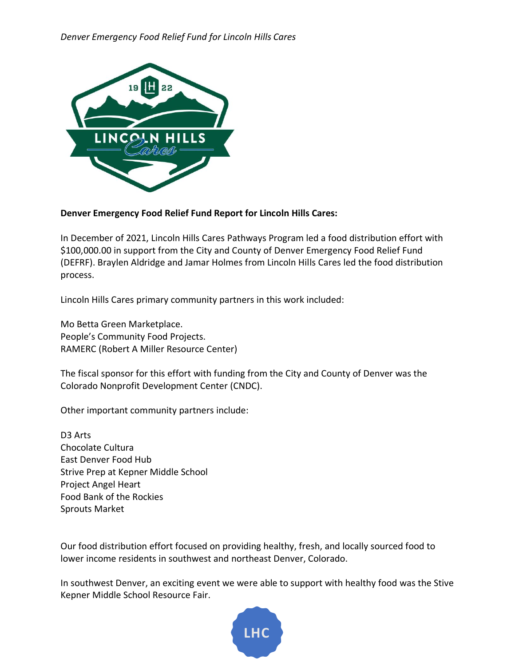

## **Denver Emergency Food Relief Fund Report for Lincoln Hills Cares:**

In December of 2021, Lincoln Hills Cares Pathways Program led a food distribution effort with \$100,000.00 in support from the City and County of Denver Emergency Food Relief Fund (DEFRF). Braylen Aldridge and Jamar Holmes from Lincoln Hills Cares led the food distribution process.

Lincoln Hills Cares primary community partners in this work included:

Mo Betta Green Marketplace. People's Community Food Projects. RAMERC (Robert A Miller Resource Center)

The fiscal sponsor for this effort with funding from the City and County of Denver was the Colorado Nonprofit Development Center (CNDC).

Other important community partners include:

D3 Arts Chocolate Cultura East Denver Food Hub Strive Prep at Kepner Middle School Project Angel Heart Food Bank of the Rockies Sprouts Market

Our food distribution effort focused on providing healthy, fresh, and locally sourced food to lower income residents in southwest and northeast Denver, Colorado.

In southwest Denver, an exciting event we were able to support with healthy food was the Stive Kepner Middle School Resource Fair.

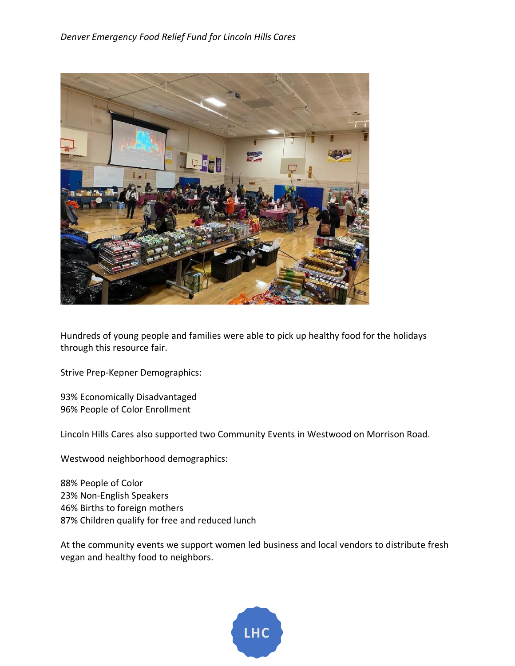

Hundreds of young people and families were able to pick up healthy food for the holidays through this resource fair.

Strive Prep-Kepner Demographics:

93% Economically Disadvantaged 96% People of Color Enrollment

Lincoln Hills Cares also supported two Community Events in Westwood on Morrison Road.

Westwood neighborhood demographics:

88% People of Color 23% Non-English Speakers 46% Births to foreign mothers 87% Children qualify for free and reduced lunch

At the community events we support women led business and local vendors to distribute fresh vegan and healthy food to neighbors.

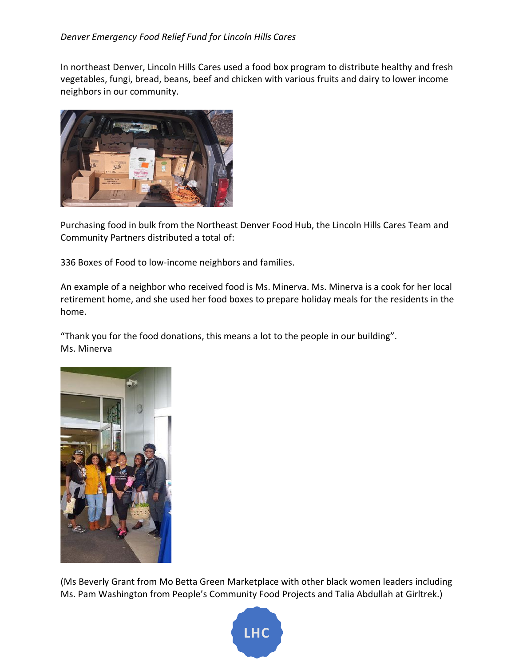In northeast Denver, Lincoln Hills Cares used a food box program to distribute healthy and fresh vegetables, fungi, bread, beans, beef and chicken with various fruits and dairy to lower income neighbors in our community.



Purchasing food in bulk from the Northeast Denver Food Hub, the Lincoln Hills Cares Team and Community Partners distributed a total of:

336 Boxes of Food to low-income neighbors and families.

An example of a neighbor who received food is Ms. Minerva. Ms. Minerva is a cook for her local retirement home, and she used her food boxes to prepare holiday meals for the residents in the home.

"Thank you for the food donations, this means a lot to the people in our building". Ms. Minerva



(Ms Beverly Grant from Mo Betta Green Marketplace with other black women leaders including Ms. Pam Washington from People's Community Food Projects and Talia Abdullah at Girltrek.)